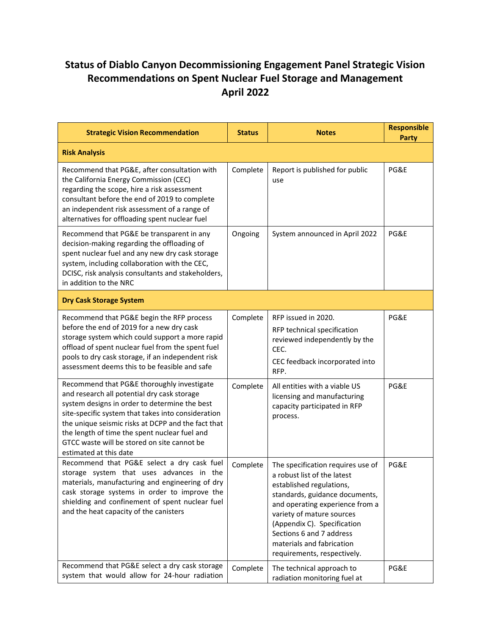## **Status of Diablo Canyon Decommissioning Engagement Panel Strategic Vision Recommendations on Spent Nuclear Fuel Storage and Management April 2022**

| <b>Strategic Vision Recommendation</b>                                                                                                                                                                                                                                                                                                                                           | <b>Status</b> | <b>Notes</b>                                                                                                                                                                                                                                                                                                          | <b>Responsible</b><br><b>Party</b> |
|----------------------------------------------------------------------------------------------------------------------------------------------------------------------------------------------------------------------------------------------------------------------------------------------------------------------------------------------------------------------------------|---------------|-----------------------------------------------------------------------------------------------------------------------------------------------------------------------------------------------------------------------------------------------------------------------------------------------------------------------|------------------------------------|
| <b>Risk Analysis</b>                                                                                                                                                                                                                                                                                                                                                             |               |                                                                                                                                                                                                                                                                                                                       |                                    |
| Recommend that PG&E, after consultation with<br>the California Energy Commission (CEC)<br>regarding the scope, hire a risk assessment<br>consultant before the end of 2019 to complete<br>an independent risk assessment of a range of<br>alternatives for offloading spent nuclear fuel                                                                                         | Complete      | Report is published for public<br>use                                                                                                                                                                                                                                                                                 | PG&E                               |
| Recommend that PG&E be transparent in any<br>decision-making regarding the offloading of<br>spent nuclear fuel and any new dry cask storage<br>system, including collaboration with the CEC,<br>DCISC, risk analysis consultants and stakeholders,<br>in addition to the NRC                                                                                                     | Ongoing       | System announced in April 2022                                                                                                                                                                                                                                                                                        | PG&E                               |
| <b>Dry Cask Storage System</b>                                                                                                                                                                                                                                                                                                                                                   |               |                                                                                                                                                                                                                                                                                                                       |                                    |
| Recommend that PG&E begin the RFP process<br>before the end of 2019 for a new dry cask<br>storage system which could support a more rapid<br>offload of spent nuclear fuel from the spent fuel<br>pools to dry cask storage, if an independent risk<br>assessment deems this to be feasible and safe                                                                             | Complete      | RFP issued in 2020.<br>RFP technical specification<br>reviewed independently by the<br>CEC.<br>CEC feedback incorporated into<br>RFP.                                                                                                                                                                                 | PG&E                               |
| Recommend that PG&E thoroughly investigate<br>and research all potential dry cask storage<br>system designs in order to determine the best<br>site-specific system that takes into consideration<br>the unique seismic risks at DCPP and the fact that<br>the length of time the spent nuclear fuel and<br>GTCC waste will be stored on site cannot be<br>estimated at this date | Complete      | All entities with a viable US<br>licensing and manufacturing<br>capacity participated in RFP<br>process.                                                                                                                                                                                                              | PG&E                               |
| Recommend that PG&E select a dry cask fuel<br>storage system that uses advances in the<br>materials, manufacturing and engineering of dry<br>cask storage systems in order to improve the<br>shielding and confinement of spent nuclear fuel<br>and the heat capacity of the canisters                                                                                           | Complete      | The specification requires use of<br>a robust list of the latest<br>established regulations,<br>standards, guidance documents,<br>and operating experience from a<br>variety of mature sources<br>(Appendix C). Specification<br>Sections 6 and 7 address<br>materials and fabrication<br>requirements, respectively. | PG&E                               |
| Recommend that PG&E select a dry cask storage<br>system that would allow for 24-hour radiation                                                                                                                                                                                                                                                                                   | Complete      | The technical approach to<br>radiation monitoring fuel at                                                                                                                                                                                                                                                             | PG&E                               |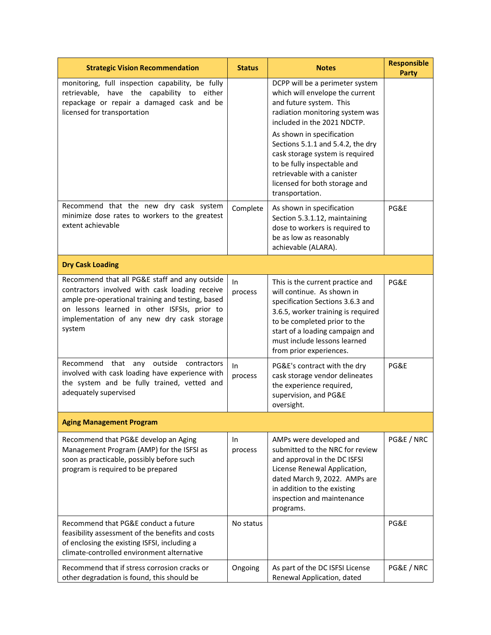| <b>Strategic Vision Recommendation</b>                                                                                                                                                                                                                       | <b>Status</b>  | <b>Notes</b>                                                                                                                                                                                                                                                           | <b>Responsible</b><br><b>Party</b> |  |
|--------------------------------------------------------------------------------------------------------------------------------------------------------------------------------------------------------------------------------------------------------------|----------------|------------------------------------------------------------------------------------------------------------------------------------------------------------------------------------------------------------------------------------------------------------------------|------------------------------------|--|
| monitoring, full inspection capability, be fully<br>retrievable, have the capability to either<br>repackage or repair a damaged cask and be<br>licensed for transportation                                                                                   |                | DCPP will be a perimeter system<br>which will envelope the current<br>and future system. This<br>radiation monitoring system was<br>included in the 2021 NDCTP.                                                                                                        |                                    |  |
|                                                                                                                                                                                                                                                              |                | As shown in specification<br>Sections 5.1.1 and 5.4.2, the dry<br>cask storage system is required<br>to be fully inspectable and<br>retrievable with a canister<br>licensed for both storage and<br>transportation.                                                    |                                    |  |
| Recommend that the new dry cask system<br>minimize dose rates to workers to the greatest<br>extent achievable                                                                                                                                                | Complete       | As shown in specification<br>Section 5.3.1.12, maintaining<br>dose to workers is required to<br>be as low as reasonably<br>achievable (ALARA).                                                                                                                         | PG&E                               |  |
| <b>Dry Cask Loading</b>                                                                                                                                                                                                                                      |                |                                                                                                                                                                                                                                                                        |                                    |  |
| Recommend that all PG&E staff and any outside<br>contractors involved with cask loading receive<br>ample pre-operational training and testing, based<br>on lessons learned in other ISFSIs, prior to<br>implementation of any new dry cask storage<br>system | In.<br>process | This is the current practice and<br>will continue. As shown in<br>specification Sections 3.6.3 and<br>3.6.5, worker training is required<br>to be completed prior to the<br>start of a loading campaign and<br>must include lessons learned<br>from prior experiences. | PG&E                               |  |
| Recommend that any outside<br>contractors<br>involved with cask loading have experience with<br>the system and be fully trained, vetted and<br>adequately supervised                                                                                         | In.<br>process | PG&E's contract with the dry<br>cask storage vendor delineates<br>the experience required,<br>supervision, and PG&E<br>oversight.                                                                                                                                      | PG&E                               |  |
| <b>Aging Management Program</b>                                                                                                                                                                                                                              |                |                                                                                                                                                                                                                                                                        |                                    |  |
| Recommend that PG&E develop an Aging<br>Management Program (AMP) for the ISFSI as<br>soon as practicable, possibly before such<br>program is required to be prepared                                                                                         | In.<br>process | AMPs were developed and<br>submitted to the NRC for review<br>and approval in the DC ISFSI<br>License Renewal Application,<br>dated March 9, 2022. AMPs are<br>in addition to the existing<br>inspection and maintenance<br>programs.                                  | PG&E / NRC                         |  |
| Recommend that PG&E conduct a future<br>feasibility assessment of the benefits and costs<br>of enclosing the existing ISFSI, including a<br>climate-controlled environment alternative                                                                       | No status      |                                                                                                                                                                                                                                                                        | PG&E                               |  |
| Recommend that if stress corrosion cracks or<br>other degradation is found, this should be                                                                                                                                                                   | Ongoing        | As part of the DC ISFSI License<br>Renewal Application, dated                                                                                                                                                                                                          | PG&E / NRC                         |  |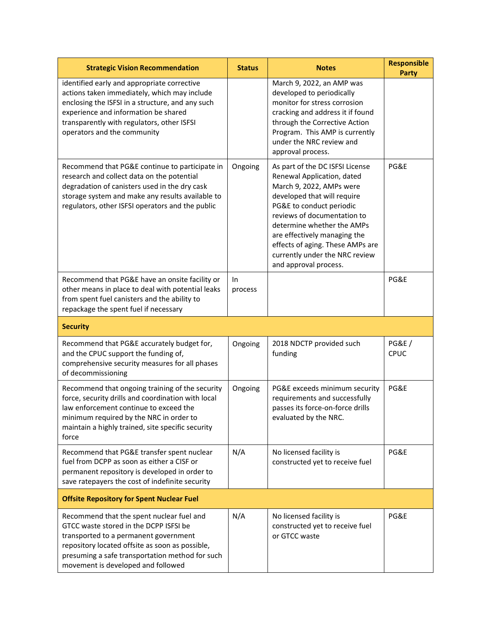| <b>Strategic Vision Recommendation</b>                                                                                                                                                                                                                               | <b>Status</b>  | <b>Notes</b>                                                                                                                                                                                                                                                                                                                                     | <b>Responsible</b><br><b>Party</b> |
|----------------------------------------------------------------------------------------------------------------------------------------------------------------------------------------------------------------------------------------------------------------------|----------------|--------------------------------------------------------------------------------------------------------------------------------------------------------------------------------------------------------------------------------------------------------------------------------------------------------------------------------------------------|------------------------------------|
| identified early and appropriate corrective<br>actions taken immediately, which may include<br>enclosing the ISFSI in a structure, and any such<br>experience and information be shared<br>transparently with regulators, other ISFSI<br>operators and the community |                | March 9, 2022, an AMP was<br>developed to periodically<br>monitor for stress corrosion<br>cracking and address it if found<br>through the Corrective Action<br>Program. This AMP is currently<br>under the NRC review and<br>approval process.                                                                                                   |                                    |
| Recommend that PG&E continue to participate in<br>research and collect data on the potential<br>degradation of canisters used in the dry cask<br>storage system and make any results available to<br>regulators, other ISFSI operators and the public                | Ongoing        | As part of the DC ISFSI License<br>Renewal Application, dated<br>March 9, 2022, AMPs were<br>developed that will require<br>PG&E to conduct periodic<br>reviews of documentation to<br>determine whether the AMPs<br>are effectively managing the<br>effects of aging. These AMPs are<br>currently under the NRC review<br>and approval process. | PG&E                               |
| Recommend that PG&E have an onsite facility or<br>other means in place to deal with potential leaks<br>from spent fuel canisters and the ability to<br>repackage the spent fuel if necessary                                                                         | In.<br>process |                                                                                                                                                                                                                                                                                                                                                  | PG&E                               |
| <b>Security</b>                                                                                                                                                                                                                                                      |                |                                                                                                                                                                                                                                                                                                                                                  |                                    |
|                                                                                                                                                                                                                                                                      |                |                                                                                                                                                                                                                                                                                                                                                  |                                    |
| Recommend that PG&E accurately budget for,<br>and the CPUC support the funding of,<br>comprehensive security measures for all phases<br>of decommissioning                                                                                                           | Ongoing        | 2018 NDCTP provided such<br>funding                                                                                                                                                                                                                                                                                                              | <b>PG&amp;E/</b><br>CPUC           |
| Recommend that ongoing training of the security<br>force, security drills and coordination with local<br>law enforcement continue to exceed the<br>minimum required by the NRC in order to<br>maintain a highly trained, site specific security<br>force             | Ongoing        | PG&E exceeds minimum security<br>requirements and successfully<br>passes its force-on-force drills<br>evaluated by the NRC.                                                                                                                                                                                                                      | PG&E                               |
| Recommend that PG&E transfer spent nuclear<br>fuel from DCPP as soon as either a CISF or<br>permanent repository is developed in order to<br>save ratepayers the cost of indefinite security                                                                         | N/A            | No licensed facility is<br>constructed yet to receive fuel                                                                                                                                                                                                                                                                                       | PG&E                               |
| <b>Offsite Repository for Spent Nuclear Fuel</b>                                                                                                                                                                                                                     |                |                                                                                                                                                                                                                                                                                                                                                  |                                    |